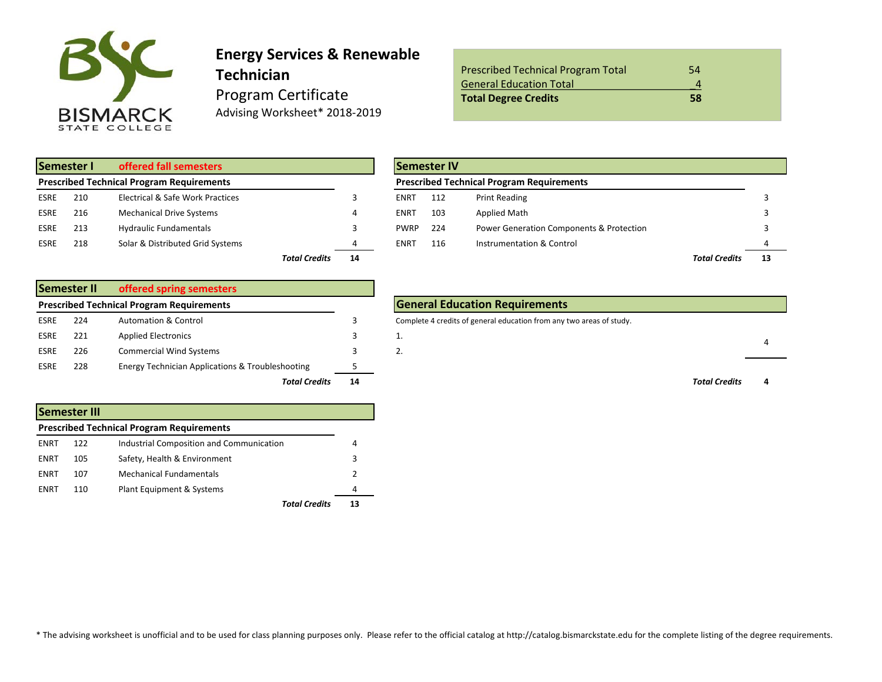

# **Energy Services & Renewable Technician** Program Certificate Advising Worksheet\* 2018-2019

| <b>Prescribed Technical Program Total</b> | 54 |
|-------------------------------------------|----|
| <b>General Education Total</b>            |    |
| <b>Total Degree Credits</b>               | 58 |

| Semester I<br>offered fall semesters |     |                                                  |                                   |                | <b>Semester IV</b> |                                                  |                                  |
|--------------------------------------|-----|--------------------------------------------------|-----------------------------------|----------------|--------------------|--------------------------------------------------|----------------------------------|
|                                      |     | <b>Prescribed Technical Program Requirements</b> |                                   |                |                    | <b>Prescribed Technical Program Requirements</b> |                                  |
| <b>ESRE</b>                          | 210 | Electrical & Safe Work Practices                 |                                   |                | <b>ENRT</b>        | 112                                              | <b>Print Reading</b>             |
| <b>ESRE</b>                          | 216 | <b>Mechanical Drive Systems</b>                  |                                   | 4              | ENRT               | 103                                              | Applied Math                     |
| <b>ESRE</b>                          | 213 | <b>Hydraulic Fundamentals</b>                    |                                   |                | <b>PWRP</b>        | 224                                              | <b>Power Generation Componer</b> |
| <b>ESRE</b>                          | 218 | Solar & Distributed Grid Systems                 |                                   | 4              | ENRT               | 116                                              | Instrumentation & Control        |
|                                      |     |                                                  | <b>The Andrew Concept Address</b> | $\overline{a}$ |                    |                                                  |                                  |

|             | Semester II | offered spring semesters                                    |    |  |
|-------------|-------------|-------------------------------------------------------------|----|--|
|             |             | <b>Prescribed Technical Program Requirements</b>            |    |  |
| <b>ESRE</b> | 224         | <b>Automation &amp; Control</b>                             | 3  |  |
| <b>ESRE</b> | 221         | <b>Applied Electronics</b>                                  | 3  |  |
| <b>ESRE</b> | 226         | <b>Commercial Wind Systems</b>                              | 3  |  |
| <b>ESRE</b> | 228         | <b>Energy Technician Applications &amp; Troubleshooting</b> | 5  |  |
|             |             | <b>Total Credits</b>                                        | 14 |  |

|      | Semester III |                                                  |   |
|------|--------------|--------------------------------------------------|---|
|      |              | <b>Prescribed Technical Program Requirements</b> |   |
| ENRT | 122          | Industrial Composition and Communication         | 4 |
| ENRT | 105          | Safety, Health & Environment                     | 3 |
| ENRT | 107          | Mechanical Fundamentals                          | 2 |
| ENRT | 110          | Plant Equipment & Systems                        | 4 |
|      |              | Total Credits                                    |   |

|      | Semester I | offered fall semesters                           |    |             | <b>Semester IV</b> |                                                  |                      |  |
|------|------------|--------------------------------------------------|----|-------------|--------------------|--------------------------------------------------|----------------------|--|
|      |            | <b>Prescribed Technical Program Requirements</b> |    |             |                    | <b>Prescribed Technical Program Requirements</b> |                      |  |
| ESRE | 210        | Electrical & Safe Work Practices                 |    | <b>ENRT</b> | 112                | Print Reading                                    |                      |  |
| ESRE | 216        | <b>Mechanical Drive Systems</b>                  |    | <b>ENRT</b> | 103                | Applied Math                                     |                      |  |
| ESRE | 213        | <b>Hydraulic Fundamentals</b>                    |    | <b>PWRP</b> | 224                | Power Generation Components & Protection         |                      |  |
| ESRE | 218        | Solar & Distributed Grid Systems                 |    | ENRT        | 116                | Instrumentation & Control                        |                      |  |
|      |            | <b>Total Credits</b>                             | 14 |             |                    |                                                  | <b>Total Credits</b> |  |

### **General Education Requirements**

Complete 4 credits of general education from any two areas of study.



\* The advising worksheet is unofficial and to be used for class planning purposes only. Please refer to the official catalog at http://catalog.bismarckstate.edu for the complete listing of the degree requirements.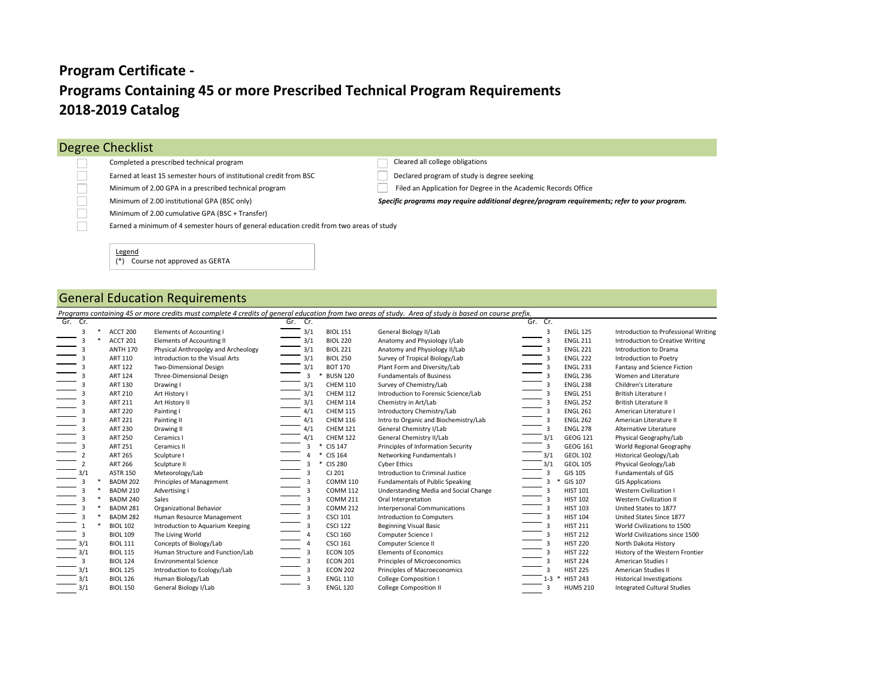# **Programs Containing 45 or more Prescribed Technical Program Requirements 2018-2019 Catalog Program Certificate -**

## Degree Checklist

 $\Box$  $\Box$  $\Box$  $\Box$  $\Box$  $\Box$ 

#### Completed a prescribed technical program Cleared all college obligations

Earned at least 15 semester hours of institutional credit from BSC Declared program of study is degree seeking

Minimum of 2.00 GPA in a prescribed technical program Filed an Application for Degree in the Academic Records Office

Minimum of 2.00 institutional GPA (BSC only) *Specific programs may require additional degree/program requirements; refer to your program.* Minimum of 2.00 cumulative GPA (BSC + Transfer)

Earned a minimum of 4 semester hours of general education credit from two areas of study

#### Legend

(\*) Course not approved as GERTA

## General Education Requirements

*Programs containing 45 or more credits must complete 4 credits of general education from two areas of study. Area of study is based on course prefix.*

| Gr. Cr. |                 |                                     | Gr.<br>Cr.              |                 |                                        | Gr. Cr.        |                 |                                      |
|---------|-----------------|-------------------------------------|-------------------------|-----------------|----------------------------------------|----------------|-----------------|--------------------------------------|
| 3       | ACCT 200        | Elements of Accounting I            | 3/1                     | <b>BIOL 151</b> | General Biology II/Lab                 | $\overline{3}$ | <b>ENGL 125</b> | Introduction to Professional Writing |
|         | ACCT 201        | <b>Elements of Accounting II</b>    | 3/1                     | <b>BIOL 220</b> | Anatomy and Physiology I/Lab           |                | <b>ENGL 211</b> | Introduction to Creative Writing     |
|         | <b>ANTH 170</b> | Physical Anthropolgy and Archeology | 3/1                     | <b>BIOL 221</b> | Anatomy and Physiology II/Lab          |                | <b>ENGL 221</b> | Introduction to Drama                |
|         | <b>ART 110</b>  | Introduction to the Visual Arts     | 3/1                     | <b>BIOL 250</b> | Survey of Tropical Biology/Lab         |                | <b>ENGL 222</b> | Introduction to Poetry               |
|         | <b>ART 122</b>  | <b>Two-Dimensional Design</b>       | 3/1                     | <b>BOT 170</b>  | Plant Form and Diversity/Lab           |                | <b>ENGL 233</b> | Fantasy and Science Fiction          |
|         | <b>ART 124</b>  | Three-Dimensional Design            | 3                       | <b>BUSN 120</b> | <b>Fundamentals of Business</b>        |                | <b>ENGL 236</b> | Women and Literature                 |
|         | <b>ART 130</b>  | Drawing I                           | 3/1                     | <b>CHEM 110</b> | Survey of Chemistry/Lab                |                | <b>ENGL 238</b> | Children's Literature                |
|         | <b>ART 210</b>  | Art History I                       | 3/1                     | <b>CHEM 112</b> | Introduction to Forensic Science/Lab   |                | <b>ENGL 251</b> | <b>British Literature I</b>          |
|         | <b>ART 211</b>  | Art History II                      | 3/1                     | <b>CHEM 114</b> | Chemistry in Art/Lab                   |                | <b>ENGL 252</b> | <b>British Literature II</b>         |
|         | <b>ART 220</b>  | Painting I                          | 4/1                     | <b>CHEM 115</b> | Introductory Chemistry/Lab             |                | <b>ENGL 261</b> | American Literature I                |
|         | <b>ART 221</b>  | Painting II                         | 4/1                     | <b>CHEM 116</b> | Intro to Organic and Biochemistry/Lab  |                | <b>ENGL 262</b> | American Literature II               |
|         | <b>ART 230</b>  | Drawing II                          | 4/1                     | <b>CHEM 121</b> | General Chemistry I/Lab                | 3              | <b>ENGL 278</b> | Alternative Literature               |
|         | <b>ART 250</b>  | Ceramics I                          | 4/1                     | <b>CHEM 122</b> | General Chemistry II/Lab               | 3/1            | <b>GEOG 121</b> | Physical Geography/Lab               |
|         | <b>ART 251</b>  | Ceramics II                         | 3                       | <b>CIS 147</b>  | Principles of Information Security     | 3              | <b>GEOG 161</b> | World Regional Geography             |
|         | <b>ART 265</b>  | Sculpture I                         |                         | CIS 164         | Networking Fundamentals I              |                | <b>GEOL 102</b> | Historical Geology/Lab               |
|         | <b>ART 266</b>  | Sculpture II                        |                         | <b>CIS 280</b>  | Cyber Ethics                           | 3/1            | <b>GEOL 105</b> | Physical Geology/Lab                 |
|         | <b>ASTR 150</b> | Meteorology/Lab                     | $\overline{\mathbf{3}}$ | CJ 201          | Introduction to Criminal Justice       | $\mathbf{z}$   | GIS 105         | <b>Fundamentals of GIS</b>           |
|         | <b>BADM 202</b> | Principles of Management            |                         | <b>COMM 110</b> | <b>Fundamentals of Public Speaking</b> |                | GIS 107         | <b>GIS Applications</b>              |
| 3       | <b>BADM 210</b> | Advertising I                       | 3                       | <b>COMM 112</b> | Understanding Media and Social Change  |                | <b>HIST 101</b> | <b>Western Civilization I</b>        |
|         | <b>BADM 240</b> | Sales                               |                         | <b>COMM 211</b> | Oral Interpretation                    |                | <b>HIST 102</b> | <b>Western Civilization II</b>       |
|         | <b>BADM 281</b> | Organizational Behavior             |                         | <b>COMM 212</b> | <b>Interpersonal Communications</b>    |                | <b>HIST 103</b> | United States to 1877                |
|         | <b>BADM 282</b> | Human Resource Management           |                         | <b>CSCI 101</b> | Introduction to Computers              |                | <b>HIST 104</b> | United States Since 1877             |
|         | <b>BIOL 102</b> | Introduction to Aquarium Keeping    |                         | <b>CSCI 122</b> | <b>Beginning Visual Basic</b>          |                | <b>HIST 211</b> | World Civilizations to 1500          |
| з       | <b>BIOL 109</b> | The Living World                    | $\Delta$                | <b>CSCI 160</b> | Computer Science I                     |                | <b>HIST 212</b> | World Civilizations since 1500       |
|         | <b>BIOL 111</b> | Concepts of Biology/Lab             |                         | <b>CSCI 161</b> | Computer Science II                    |                | <b>HIST 220</b> | North Dakota History                 |
| 3/1     | <b>BIOL 115</b> | Human Structure and Function/Lab    |                         | <b>ECON 105</b> | <b>Elements of Economics</b>           |                | <b>HIST 222</b> | History of the Western Frontier      |
| 3       | <b>BIOL 124</b> | <b>Environmental Science</b>        | 3                       | <b>ECON 201</b> | Principles of Microeconomics           |                | <b>HIST 224</b> | American Studies I                   |
| 3/1     | <b>BIOL 125</b> | Introduction to Ecology/Lab         |                         | <b>ECON 202</b> | Principles of Macroeconomics           |                | <b>HIST 225</b> | American Studies II                  |
| 3/1     | <b>BIOL 126</b> | Human Biology/Lab                   |                         | <b>ENGL 110</b> | <b>College Composition I</b>           |                | <b>HIST 243</b> | <b>Historical Investigations</b>     |
| 3/1     | <b>BIOL 150</b> | General Biology I/Lab               |                         | <b>ENGL 120</b> | <b>College Composition II</b>          |                | <b>HUMS 210</b> | <b>Integrated Cultural Studies</b>   |